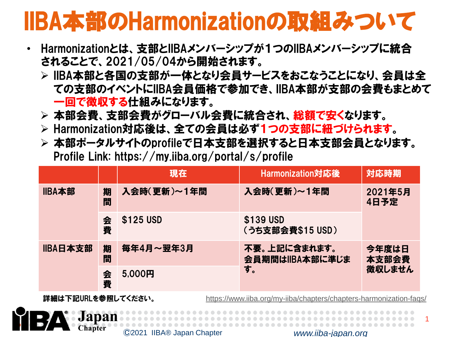## IIBA本部のHarmonizationの取組みついて

- Harmonizationとは、支部とIIBAメンバーシップが1つのIIBAメンバーシップに統合 されることで、2021/05/04から開始されます。
	- IIBA本部と各国の支部が一体となり会員サービスをおこなうことになり、会員は全 ての支部のイベントにIIBA会員価格で参加でき、IIBA本部が支部の会費もまとめて 一回で徴収する仕組みになります。
	- 本部会費、支部会費がグローバル会費に統合され、総額で安くなります。
	- Harmonization対応後は、全ての会員は必ず1つの支部に紐づけられます。
	- 本部ポータルサイトのprofileで日本支部を選択すると日本支部会員となります。 Profile Link: https://my.iiba.org/portal/s/profile

|          |        | 現在          | Harmonization対応後                | 対応時期                     |
|----------|--------|-------------|---------------------------------|--------------------------|
| IIBA本部   | 期<br>間 | 入会時(更新)~1年間 | 入会時(更新)~1年間                     | 2021年5月<br>4日予定          |
|          | 会<br>費 | \$125 USD   | \$139 USD<br>(うち支部会費\$15 USD)   |                          |
| IIBA日本支部 | 期<br>間 | 毎年4月~翌年3月   | 不要。上記に含まれます。<br>会員期間はIIBA本部に準じま | 今年度は日<br>本支部会費<br>徴収しません |
|          | 会<br>費 | 5.000円      | す。                              |                          |

**Chapter** 

詳細は下記URLを参照してください。 <https://www.iiba.org/my-iiba/chapters/chapters-harmonization-faqs/>



1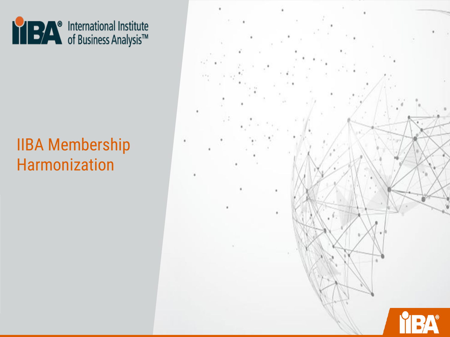

### IIBA Membership Harmonization

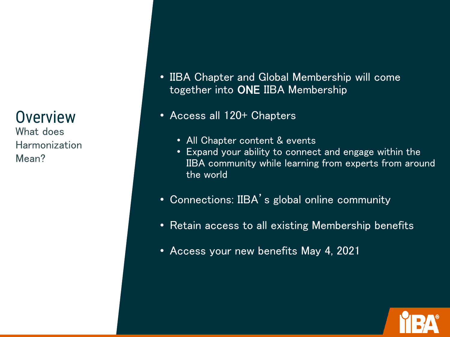### **Overview**

What does Harmonization Mean?

- IIBA Chapter and Global Membership will come together into ONE IIBA Membership
- Access all 120+ Chapters
	- All Chapter content & events
	- Expand your ability to connect and engage within the IIBA community while learning from experts from around the world
- Connections: IIBA's global online community
- Retain access to all existing Membership benefits
- Access your new benefits May 4, 2021

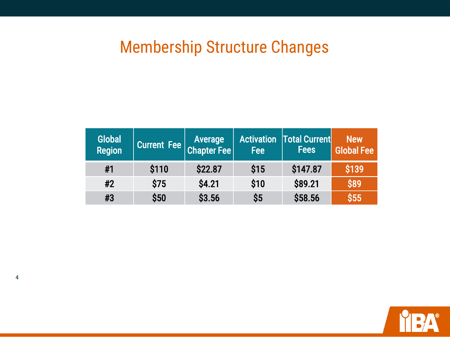### Membership Structure Changes

| <b>Global</b><br><b>Region</b> | Current Fee $\begin{vmatrix} \text{Average} \\ \text{Chapter Fee} \end{vmatrix}$ |         | Fee  | <b>Activation   Total Current</b><br><b>Fees</b> | <b>New</b><br><b>Global Fee</b> |
|--------------------------------|----------------------------------------------------------------------------------|---------|------|--------------------------------------------------|---------------------------------|
| #1                             | \$110                                                                            | \$22.87 | \$15 | \$147.87                                         | \$139                           |
| #2                             | \$75                                                                             | \$4.21  | \$10 | \$89.21                                          | \$89                            |
| #3                             | \$50                                                                             | \$3.56  | \$5  | \$58.56                                          | \$55                            |

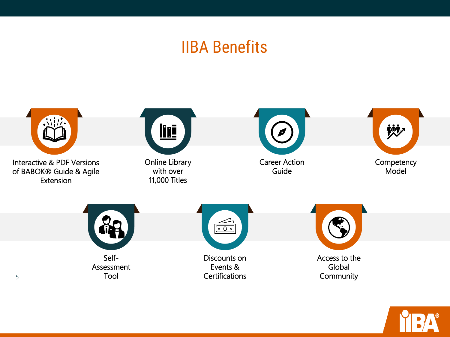### IIBA Benefits



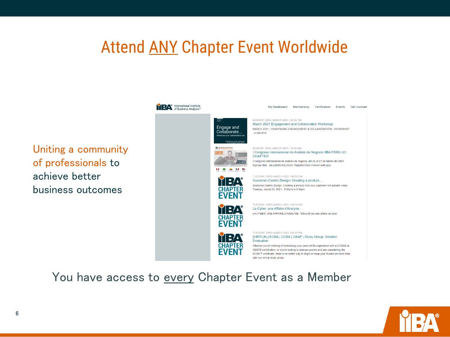### Attend ANY Chapter Event Worldwide



You have access to every Chapter Event as a Member



Uniting a community

of professionals to

business outcomes

achieve better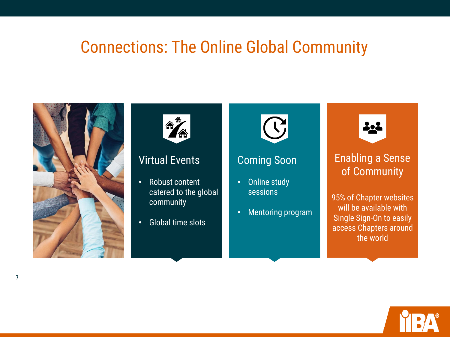### Connections: The Online Global Community





#### Virtual Events

- Robust content catered to the global community
- Global time slots



#### Coming Soon

- Online study sessions
- Mentoring program



#### Enabling a Sense of Community

95% of Chapter websites will be available with Single Sign-On to easily access Chapters around the world

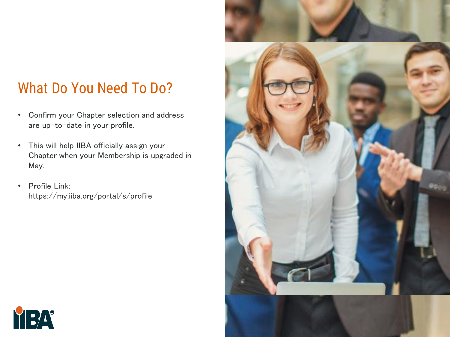### What Do You Need To Do?

- Confirm your Chapter selection and address are up-to-date in your profile.
- This will help IIBA officially assign your Chapter when your Membership is upgraded in May.
- Profile Link: https://my.iiba.org/portal/s/profile



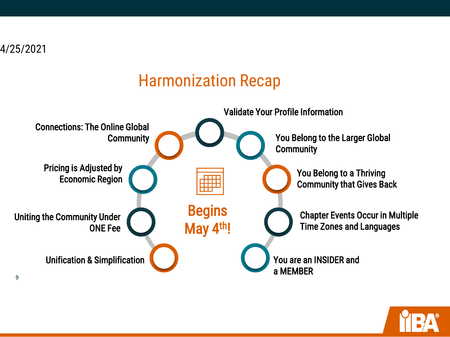

### Harmonization Recap



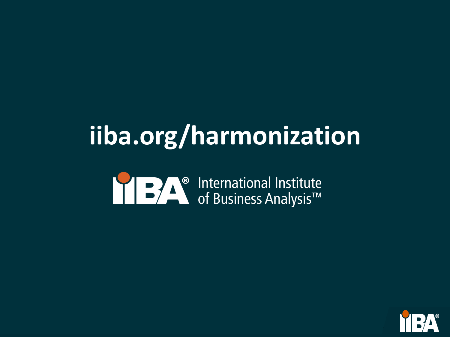# **iiba.org/harmonization**